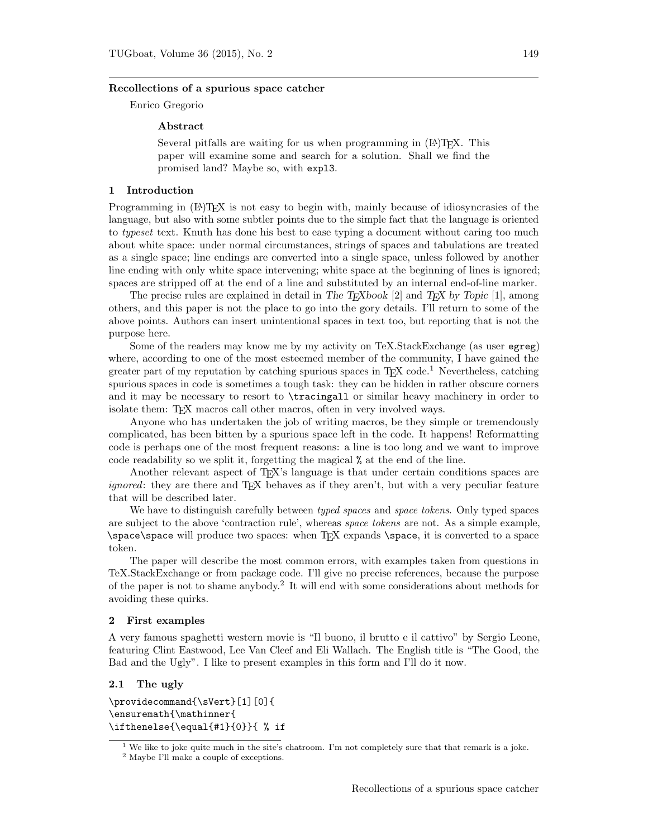#### Recollections of a spurious space catcher

Enrico Gregorio

## Abstract

Several pitfalls are waiting for us when programming in (IA)TFX. This paper will examine some and search for a solution. Shall we find the promised land? Maybe so, with expl3.

### 1 Introduction

Programming in (LA)T<sub>EX</sub> is not easy to begin with, mainly because of idiosyncrasies of the language, but also with some subtler points due to the simple fact that the language is oriented to typeset text. Knuth has done his best to ease typing a document without caring too much about white space: under normal circumstances, strings of spaces and tabulations are treated as a single space; line endings are converted into a single space, unless followed by another line ending with only white space intervening; white space at the beginning of lines is ignored; spaces are stripped off at the end of a line and substituted by an internal end-of-line marker.

The precise rules are explained in detail in The T<sub>E</sub>Xbook [2] and T<sub>E</sub>X by Topic [1], among others, and this paper is not the place to go into the gory details. I'll return to some of the above points. Authors can insert unintentional spaces in text too, but reporting that is not the purpose here.

Some of the readers may know me by my activity on TeX.StackExchange (as user egreg) where, according to one of the most esteemed member of the community, I have gained the greater part of my reputation by catching spurious spaces in  $T\ddot{F}X$  code.<sup>1</sup> Nevertheless, catching spurious spaces in code is sometimes a tough task: they can be hidden in rather obscure corners and it may be necessary to resort to \tracingall or similar heavy machinery in order to isolate them: TEX macros call other macros, often in very involved ways.

Anyone who has undertaken the job of writing macros, be they simple or tremendously complicated, has been bitten by a spurious space left in the code. It happens! Reformatting code is perhaps one of the most frequent reasons: a line is too long and we want to improve code readability so we split it, forgetting the magical % at the end of the line.

Another relevant aspect of T<sub>EX</sub>'s language is that under certain conditions spaces are ignored: they are there and TEX behaves as if they aren't, but with a very peculiar feature that will be described later.

We have to distinguish carefully between *typed spaces* and *space tokens*. Only typed spaces are subject to the above 'contraction rule', whereas space tokens are not. As a simple example, \space\space will produce two spaces: when TEX expands \space, it is converted to a space token.

The paper will describe the most common errors, with examples taken from questions in TeX.StackExchange or from package code. I'll give no precise references, because the purpose of the paper is not to shame anybody.<sup>2</sup> It will end with some considerations about methods for avoiding these quirks.

## 2 First examples

A very famous spaghetti western movie is "Il buono, il brutto e il cattivo" by Sergio Leone, featuring Clint Eastwood, Lee Van Cleef and Eli Wallach. The English title is "The Good, the Bad and the Ugly". I like to present examples in this form and I'll do it now.

## 2.1 The ugly

\providecommand{\sVert}[1][0]{ \ensuremath{\mathinner{ \ifthenelse{\equal{#1}{0}}{ % if

<sup>&</sup>lt;sup>1</sup> We like to joke quite much in the site's chatroom. I'm not completely sure that that remark is a joke.

<sup>2</sup> Maybe I'll make a couple of exceptions.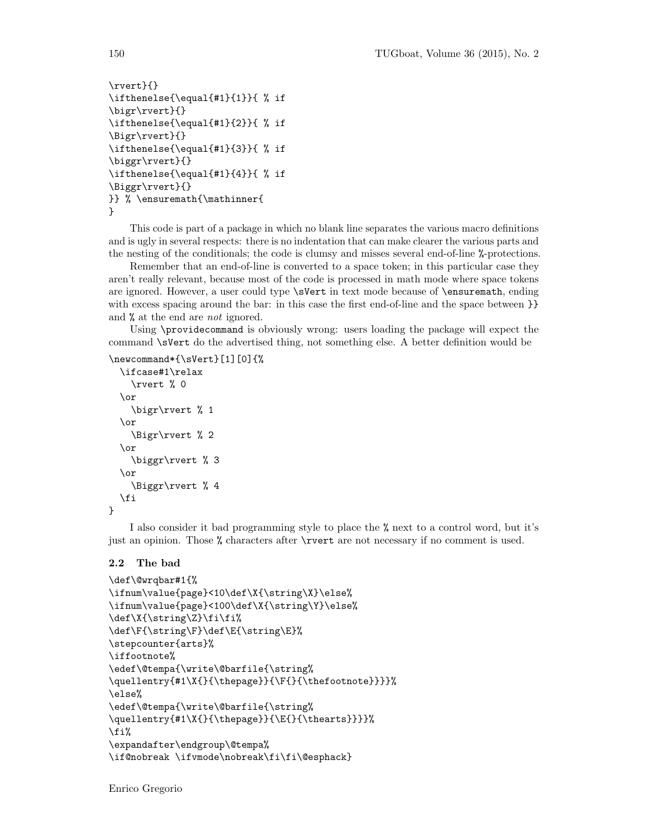```
\rvert}{}
\ifthenelse{\equal{#1}{1}}{ % if
\bigr\rvert}{}
\ifthenelse{\equal{#1}{2}}{ % if
\Bigr\rvert}{}
\ifthenelse{\equal{#1}{3}}{ % if
\biggr\rvert}{}
\ifthenelse{\equal{#1}{4}}{ % if
\Biggr\rvert}{}
}} % \ensuremath{\mathinner{
}
```
This code is part of a package in which no blank line separates the various macro definitions and is ugly in several respects: there is no indentation that can make clearer the various parts and the nesting of the conditionals; the code is clumsy and misses several end-of-line %-protections.

Remember that an end-of-line is converted to a space token; in this particular case they aren't really relevant, because most of the code is processed in math mode where space tokens are ignored. However, a user could type \sVert in text mode because of \ensuremath, ending with excess spacing around the bar: in this case the first end-of-line and the space between  $\}$ and % at the end are not ignored.

Using \providecommand is obviously wrong: users loading the package will expect the command \sVert do the advertised thing, not something else. A better definition would be

```
\newcommand*{\sVert}[1][0]{%
```

```
\ifcase#1\relax
    \rvert % 0
  \or
    \bigr\rvert % 1
  \or
    \Bigr\rvert % 2
  \or
    \biggr\rvert % 3
  \or
    \Biggr\rvert % 4
 \fi
}
```
I also consider it bad programming style to place the % next to a control word, but it's just an opinion. Those % characters after \rvert are not necessary if no comment is used.

### 2.2 The bad

```
\def\@wrqbar#1{%
\ifnum\value{page}<10\def\X{\string\X}\else%
\ifnum\value{page}<100\def\X{\string\Y}\else%
\def\X{\string\Z}\fi\fi%
\def\F{\string\F}\def\E{\string\E}%
\stepcounter{arts}%
\iffootnote%
\edef\@tempa{\write\@barfile{\string%
\quellentry{#1\X{}{\thepage}}{\F{}{\thefootnote}}}}%
\else%
\edef\@tempa{\write\@barfile{\string%
\quellentry{#1\X{}{\thepage}}{\E{}{\thearts}}}}%
\fi%
\expandafter\endgroup\@tempa%
\if@nobreak \ifvmode\nobreak\fi\fi\@esphack}
```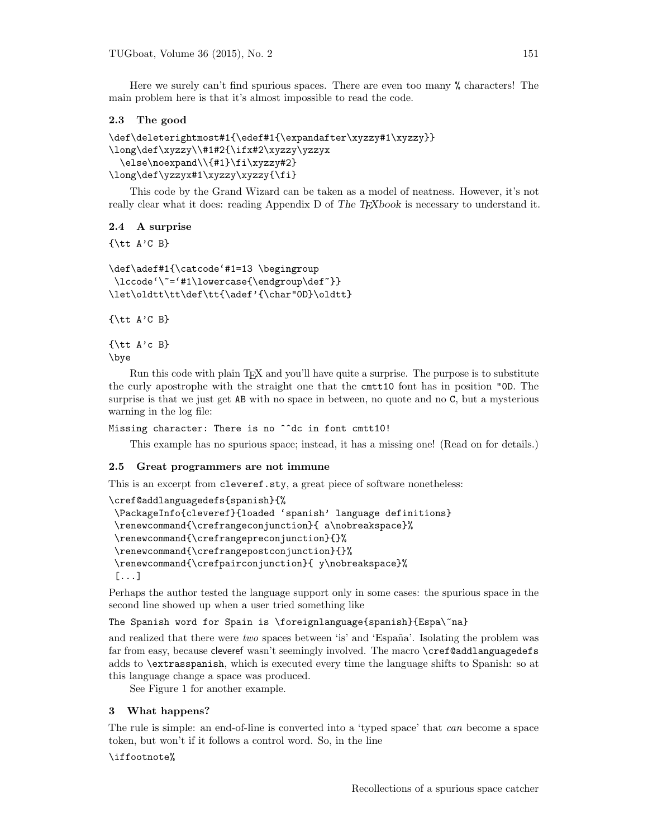Here we surely can't find spurious spaces. There are even too many % characters! The main problem here is that it's almost impossible to read the code.

# 2.3 The good

```
\def\deleterightmost#1{\edef#1{\expandafter\xyzzy#1\xyzzy}}
\long\def\xyzzy\\#1#2{\ifx#2\xyzzy\yzzyx
  \else\noexpand\\{#1}\fi\xyzzy#2}
\long\def\yzzyx#1\xyzzy\xyzzy{\fi}
```
This code by the Grand Wizard can be taken as a model of neatness. However, it's not really clear what it does: reading Appendix D of The TEXbook is necessary to understand it.

# 2.4 A surprise

 $\{\text{ } A'C \text{ } B\}$ 

```
\def\adef#1{\catcode'#1=13 \begingroup
\lccode'\~='#1\lowercase{\endgroup\def~}}
\let\oldtt\tt\def\tt{\adef'{\char"0D}\oldtt}
```
 $\{\text{ } A'C \text{ } B\}$ 

 $\{\text{ } A \text{'c B}\}$ \bye

Run this code with plain TEX and you'll have quite a surprise. The purpose is to substitute the curly apostrophe with the straight one that the cmtt10 font has in position "0D. The surprise is that we just get AB with no space in between, no quote and no C, but a mysterious warning in the log file:

Missing character: There is no ^^dc in font cmtt10!

This example has no spurious space; instead, it has a missing one! (Read on for details.)

## 2.5 Great programmers are not immune

This is an excerpt from cleveref.sty, a great piece of software nonetheless:

```
\cref@addlanguagedefs{spanish}{%
\PackageInfo{cleveref}{loaded 'spanish' language definitions}
\renewcommand{\crefrangeconjunction}{ a\nobreakspace}%
\renewcommand{\crefrangepreconjunction}{}%
\renewcommand{\crefrangepostconjunction}{}%
 \renewcommand{\crefpairconjunction}{ y\nobreakspace}%
 [...]
```
Perhaps the author tested the language support only in some cases: the spurious space in the second line showed up when a user tried something like

The Spanish word for Spain is \foreignlanguage{spanish}{Espa\~na}

and realized that there were two spaces between 'is' and 'España'. Isolating the problem was far from easy, because cleveref wasn't seemingly involved. The macro \cref@addlanguagedefs adds to \extrasspanish, which is executed every time the language shifts to Spanish: so at this language change a space was produced.

See Figure 1 for another example.

## 3 What happens?

The rule is simple: an end-of-line is converted into a 'typed space' that can become a space token, but won't if it follows a control word. So, in the line

\iffootnote%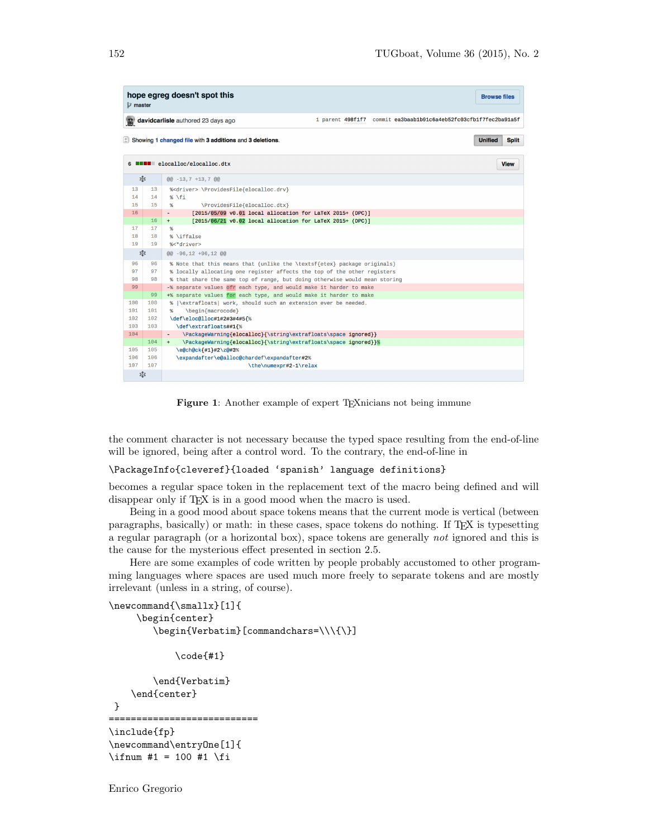| hope egreg doesn't spot this<br><b>Browse files</b><br><b>P</b> master                                 |           |                                                                                                                                         |  |  |  |  |  |
|--------------------------------------------------------------------------------------------------------|-----------|-----------------------------------------------------------------------------------------------------------------------------------------|--|--|--|--|--|
| 1 parent 498f1f7 commit ea3baab1b91c6a4eb52fc03cfb1f7fec2ba91a5f<br>davidcarlisle authored 23 days ago |           |                                                                                                                                         |  |  |  |  |  |
| $\pm$ Showing 1 changed file with 3 additions and 3 deletions.<br><b>Unified</b><br><b>Split</b>       |           |                                                                                                                                         |  |  |  |  |  |
| <b>ENEL</b> elocalloc/elocalloc.dtx<br>6                                                               |           |                                                                                                                                         |  |  |  |  |  |
|                                                                                                        | 忠         | $@@-13,7+13,7@@$                                                                                                                        |  |  |  |  |  |
| 13                                                                                                     | 13        | % <driver> \ProvidesFile{elocalloc.drv}</driver>                                                                                        |  |  |  |  |  |
| 14                                                                                                     | 14        | % \fi                                                                                                                                   |  |  |  |  |  |
| 15                                                                                                     | 15        | \ProvidesFile{elocalloc.dtx}<br>%                                                                                                       |  |  |  |  |  |
| 16                                                                                                     | 16        | [2015/05/09 v0.01 local allocation for LaTeX 2015+ (DPC)]<br>$\sim$<br>[2015/06/21 v0.02 local allocation for LaTeX 2015+ (DPC)]<br>$+$ |  |  |  |  |  |
| 17                                                                                                     | 17        | %                                                                                                                                       |  |  |  |  |  |
| 18                                                                                                     | 18        | % \iffalse                                                                                                                              |  |  |  |  |  |
| 19                                                                                                     | 19        | %<*driver>                                                                                                                              |  |  |  |  |  |
| 忠                                                                                                      |           | 00 -96,12 +96,12 00                                                                                                                     |  |  |  |  |  |
| 96                                                                                                     | 96        | % Note that this means that (unlike the \textsf{etex} package originals)                                                                |  |  |  |  |  |
| 97                                                                                                     | 97        | % locally allocating one register affects the top of the other registers                                                                |  |  |  |  |  |
| 98                                                                                                     | 98        | % that share the same top of range, but doing otherwise would mean storing                                                              |  |  |  |  |  |
| 99                                                                                                     |           | -% separate values ofr each type, and would make it harder to make                                                                      |  |  |  |  |  |
| 100                                                                                                    | 99<br>100 | +% separate values for each type, and would make it harder to make                                                                      |  |  |  |  |  |
| 101                                                                                                    | 101       | %  \extrafloats  work, should such an extension ever be needed.<br>\begin{macrocode}<br>$\frac{9}{6}$                                   |  |  |  |  |  |
| 102                                                                                                    | 102       | \def\eloc@lloc#1#2#3#4#5{%                                                                                                              |  |  |  |  |  |
| 103                                                                                                    | 103       | \def\extrafloats##1{%                                                                                                                   |  |  |  |  |  |
| 104                                                                                                    |           | \PackageWarning{elocalloc}{\string\extrafloats\space ignored}}<br>$\sim$                                                                |  |  |  |  |  |
|                                                                                                        | 104       | \PackageWarning{elocalloc}{\string\extrafloats\space ignored}}%<br>$+$                                                                  |  |  |  |  |  |
| 105                                                                                                    | 105       | \e@ch@ck{#1}#2\z@#3%                                                                                                                    |  |  |  |  |  |
| 106                                                                                                    | 106       | \expandafter\e@alloc@chardef\expandafter#2%                                                                                             |  |  |  |  |  |
| 107<br>107                                                                                             |           | \the\numexpr#2-1\relax                                                                                                                  |  |  |  |  |  |
| 忠                                                                                                      |           |                                                                                                                                         |  |  |  |  |  |

Figure 1: Another example of expert TEXnicians not being immune

the comment character is not necessary because the typed space resulting from the end-of-line will be ignored, being after a control word. To the contrary, the end-of-line in

\PackageInfo{cleveref}{loaded 'spanish' language definitions}

becomes a regular space token in the replacement text of the macro being defined and will disappear only if T<sub>EX</sub> is in a good mood when the macro is used.

Being in a good mood about space tokens means that the current mode is vertical (between paragraphs, basically) or math: in these cases, space tokens do nothing. If TEX is typesetting a regular paragraph (or a horizontal box), space tokens are generally not ignored and this is the cause for the mysterious effect presented in section 2.5.

Here are some examples of code written by people probably accustomed to other programming languages where spaces are used much more freely to separate tokens and are mostly irrelevant (unless in a string, of course).

```
\newcommand{\smallx}[1]{
     \begin{center}
        \begin{Verbatim}[commandchars=\\\{\}]
```
\code{#1}

\end{Verbatim} \end{center} } =========================== \include{fp} \newcommand\entryOne[1]{ \ifnum #1 = 100 #1 \fi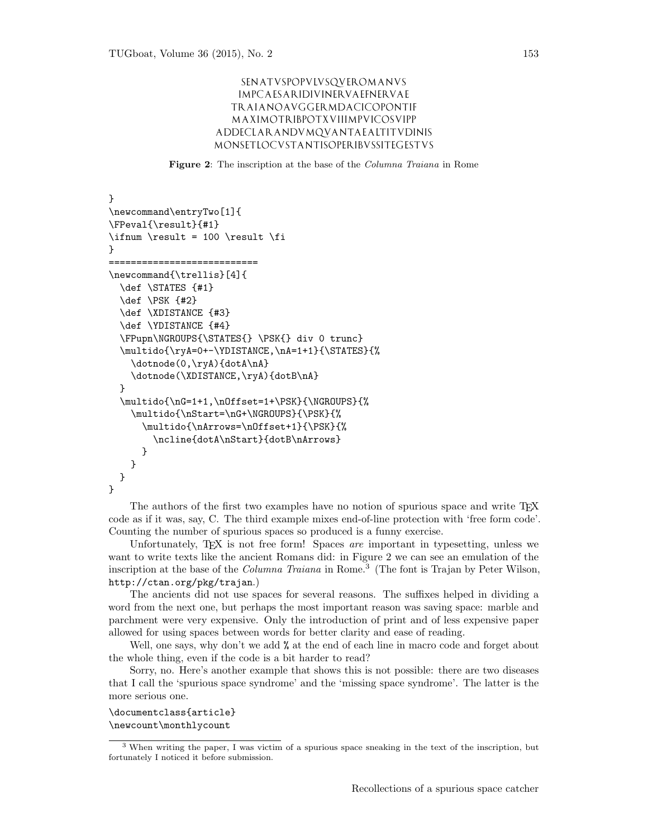# SENATVSPOPVLVSQVEROMANVS IMPCAESARIDIVINERVAEFNERVAE TRAIANOAVGGERMDACICOPONTIF MAXIMOTRIBPOTXVIIIMPVICOSVIPP ADDECLARANDVMQVANTAEALTITVDINIS MONSETLOCVSTANTISOPERIBVSSITEGESTVS

Figure 2: The inscription at the base of the Columna Traiana in Rome

```
}
\newcommand\entryTwo[1]{
\FPeval{\result}{#1}
\ifnum \result = 100 \result \fi
}
===========================
\newcommand{\trellis}[4]{
  \def \STATES {#1}
  \def \PSK {#2}
  \def \XDISTANCE {#3}
  \def \YDISTANCE {#4}
  \FPupn\NGROUPS{\STATES{} \PSK{} div 0 trunc}
  \multido{\ryA=0+-\YDISTANCE,\nA=1+1}{\STATES}{%
    \dotnode(0,\ryA){dotA\nA}
    \dotnode(\XDISTANCE,\ryA){dotB\nA}
 }
  \multido{\nG=1+1,\nOffset=1+\PSK}{\NGROUPS}{%
    \multido{\nStart=\nG+\NGROUPS}{\PSK}{%
      \multido{\nArrows=\nOffset+1}{\PSK}{%
        \ncline{dotA\nStart}{dotB\nArrows}
      }
   }
 }
}
```
The authors of the first two examples have no notion of spurious space and write T<sub>E</sub>X code as if it was, say, C. The third example mixes end-of-line protection with 'free form code'. Counting the number of spurious spaces so produced is a funny exercise.

Unfortunately, TEX is not free form! Spaces are important in typesetting, unless we want to write texts like the ancient Romans did: in Figure 2 we can see an emulation of the inscription at the base of the *Columna Traiana* in Rome.<sup>3</sup> (The font is Trajan by Peter Wilson, http://ctan.org/pkg/trajan.)

The ancients did not use spaces for several reasons. The suffixes helped in dividing a word from the next one, but perhaps the most important reason was saving space: marble and parchment were very expensive. Only the introduction of print and of less expensive paper allowed for using spaces between words for better clarity and ease of reading.

Well, one says, why don't we add  $\%$  at the end of each line in macro code and forget about the whole thing, even if the code is a bit harder to read?

Sorry, no. Here's another example that shows this is not possible: there are two diseases that I call the 'spurious space syndrome' and the 'missing space syndrome'. The latter is the more serious one.

\documentclass{article} \newcount\monthlycount

<sup>3</sup> When writing the paper, I was victim of a spurious space sneaking in the text of the inscription, but fortunately I noticed it before submission.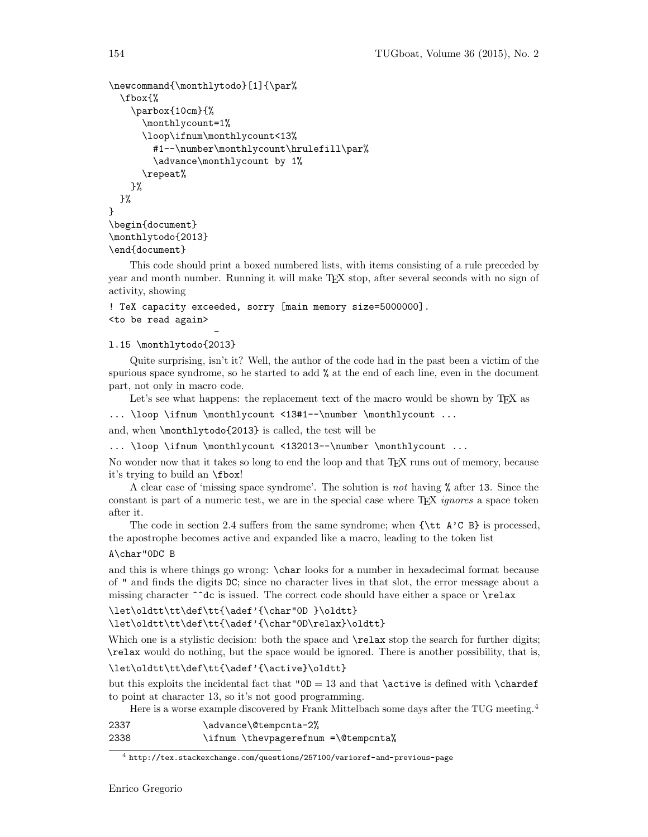```
\newcommand{\monthlytodo}[1]{\par%
  \fbox{%
    \parbox{10cm}{%
      \monthlycount=1%
      \loop\ifnum\monthlycount<13%
        #1--\number\monthlycount\hrulefill\par%
        \advance\monthlycount by 1%
      \repeat%
    }%
 }%
}
\begin{document}
\monthlytodo{2013}
\end{document}
```
This code should print a boxed numbered lists, with items consisting of a rule preceded by year and month number. Running it will make TEX stop, after several seconds with no sign of activity, showing

# ! TeX capacity exceeded, sorry [main memory size=5000000]. <to be read again>

#### l.15 \monthlytodo{2013}

Quite surprising, isn't it? Well, the author of the code had in the past been a victim of the spurious space syndrome, so he started to add % at the end of each line, even in the document part, not only in macro code.

Let's see what happens: the replacement text of the macro would be shown by T<sub>E</sub>X as

... \loop \ifnum \monthlycount <13#1--\number \monthlycount ...

and, when \monthlytodo{2013} is called, the test will be

-

... \loop \ifnum \monthlycount <132013--\number \monthlycount ...

No wonder now that it takes so long to end the loop and that TEX runs out of memory, because it's trying to build an \fbox!

A clear case of 'missing space syndrome'. The solution is not having % after 13. Since the constant is part of a numeric test, we are in the special case where TFX *ignores* a space token after it.

The code in section 2.4 suffers from the same syndrome; when  $\{\text{ } A \text{'C B}\}$  is processed, the apostrophe becomes active and expanded like a macro, leading to the token list

# A\char"0DC B

and this is where things go wrong: \char looks for a number in hexadecimal format because of " and finds the digits DC; since no character lives in that slot, the error message about a missing character ^^dc is issued. The correct code should have either a space or \relax

```
\let\oldtt\tt\def\tt{\adef'{\char"0D }\oldtt}
\let\oldtt\tt\def\tt{\adef'{\char"0D\relax}\oldtt}
```
Which one is a stylistic decision: both the space and  $\relax \relax \relax \relax$  stop the search for further digits; \relax would do nothing, but the space would be ignored. There is another possibility, that is,

# \let\oldtt\tt\def\tt{\adef'{\active}\oldtt}

but this exploits the incidental fact that " $OD = 13$  and that **\active** is defined with **\chardef** to point at character 13, so it's not good programming.

Here is a worse example discovered by Frank Mittelbach some days after the TUG meeting.<sup>4</sup>

| 2337 | \advance\@tempcnta-2%               |  |
|------|-------------------------------------|--|
| 2338 | \ifnum \thevpagerefnum =\@tempcnta% |  |

<sup>4</sup> http://tex.stackexchange.com/questions/257100/varioref-and-previous-page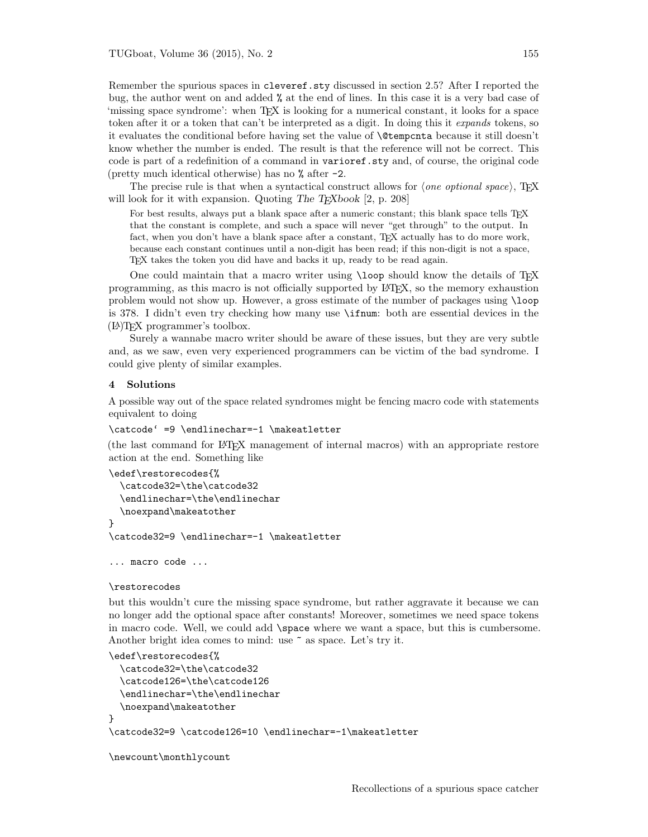Remember the spurious spaces in cleveref.sty discussed in section 2.5? After I reported the bug, the author went on and added % at the end of lines. In this case it is a very bad case of 'missing space syndrome': when TEX is looking for a numerical constant, it looks for a space token after it or a token that can't be interpreted as a digit. In doing this it expands tokens, so it evaluates the conditional before having set the value of \@tempcnta because it still doesn't know whether the number is ended. The result is that the reference will not be correct. This code is part of a redefinition of a command in varioref.sty and, of course, the original code (pretty much identical otherwise) has no % after -2.

The precise rule is that when a syntactical construct allows for  $\langle one\ option\al\ space\rangle$ , TEX will look for it with expansion. Quoting The T $\bar{F}X$ book [2, p. 208]

For best results, always put a blank space after a numeric constant; this blank space tells T<sub>E</sub>X that the constant is complete, and such a space will never "get through" to the output. In fact, when you don't have a blank space after a constant, TFX actually has to do more work, because each constant continues until a non-digit has been read; if this non-digit is not a space, TEX takes the token you did have and backs it up, ready to be read again.

One could maintain that a macro writer using \loop should know the details of TEX programming, as this macro is not officially supported by LATEX, so the memory exhaustion problem would not show up. However, a gross estimate of the number of packages using \loop is 378. I didn't even try checking how many use \ifnum: both are essential devices in the (LA)TEX programmer's toolbox.

Surely a wannabe macro writer should be aware of these issues, but they are very subtle and, as we saw, even very experienced programmers can be victim of the bad syndrome. I could give plenty of similar examples.

#### 4 Solutions

A possible way out of the space related syndromes might be fencing macro code with statements equivalent to doing

```
\catcode' =9 \endlinechar=-1 \makeatletter
```
(the last command for LATEX management of internal macros) with an appropriate restore action at the end. Something like

```
\edef\restorecodes{%
  \catcode32=\the\catcode32
  \endlinechar=\the\endlinechar
  \noexpand\makeatother
}
\catcode32=9 \endlinechar=-1 \makeatletter
```
... macro code ...

#### \restorecodes

but this wouldn't cure the missing space syndrome, but rather aggravate it because we can no longer add the optional space after constants! Moreover, sometimes we need space tokens in macro code. Well, we could add \space where we want a space, but this is cumbersome. Another bright idea comes to mind: use  $\tilde{ }$  as space. Let's try it.

```
\edef\restorecodes{%
  \catcode32=\the\catcode32
  \catcode126=\the\catcode126
  \endlinechar=\the\endlinechar
  \noexpand\makeatother
}
\catcode32=9 \catcode126=10 \endlinechar=-1\makeatletter
```

```
\newcount\monthlycount
```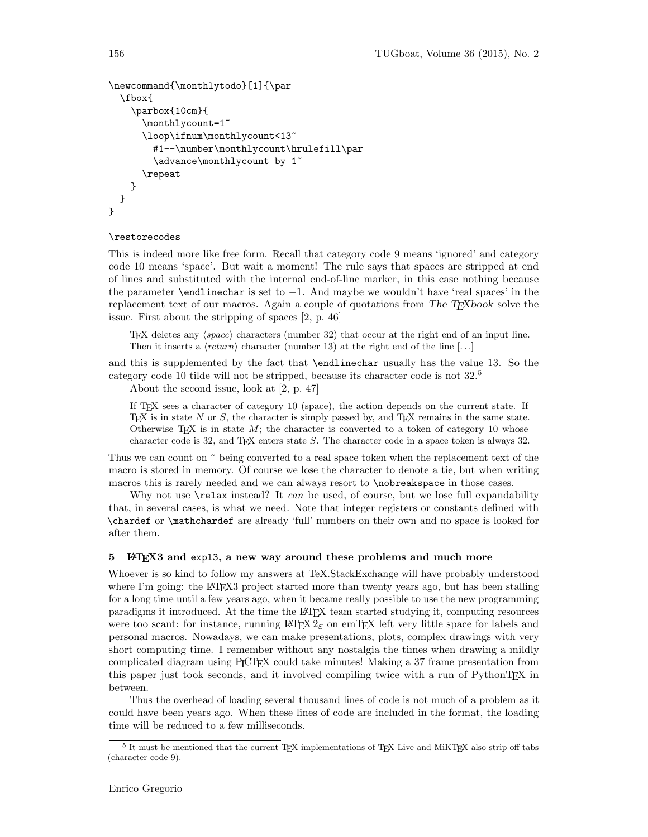```
\newcommand{\monthlytodo}[1]{\par
  \fbox{
    \parbox{10cm}{
      \monthlycount=1~
      \loop\ifnum\monthlycount<13~
        #1--\number\monthlycount\hrulefill\par
        \advance\monthlycount by 1~
      \repeat
    }
 }
}
```
#### \restorecodes

This is indeed more like free form. Recall that category code 9 means 'ignored' and category code 10 means 'space'. But wait a moment! The rule says that spaces are stripped at end of lines and substituted with the internal end-of-line marker, in this case nothing because the parameter **\endlinechar** is set to  $-1$ . And maybe we wouldn't have 'real spaces' in the replacement text of our macros. Again a couple of quotations from The  $T_{F}X$ book solve the issue. First about the stripping of spaces [2, p. 46]

TEX deletes any  $\langle space \rangle$  characters (number 32) that occur at the right end of an input line. Then it inserts a  $\langle return \rangle$  character (number 13) at the right end of the line [...]

and this is supplemented by the fact that \endlinechar usually has the value 13. So the category code 10 tilde will not be stripped, because its character code is not 32.<sup>5</sup>

About the second issue, look at [2, p. 47]

If TEX sees a character of category 10 (space), the action depends on the current state. If TEX is in state  $N$  or  $S$ , the character is simply passed by, and TEX remains in the same state. Otherwise T<sub>E</sub>X is in state  $M$ ; the character is converted to a token of category 10 whose character code is 32, and TEX enters state  $S$ . The character code in a space token is always 32.

Thus we can count on  $\tilde{\phantom{a}}$  being converted to a real space token when the replacement text of the macro is stored in memory. Of course we lose the character to denote a tie, but when writing macros this is rarely needed and we can always resort to \nobreakspace in those cases.

Why not use  $\text{relax}$  instead? It *can* be used, of course, but we lose full expandability that, in several cases, is what we need. Note that integer registers or constants defined with \chardef or \mathchardef are already 'full' numbers on their own and no space is looked for after them.

#### 5 LAT<sub>E</sub>X3 and expl3, a new way around these problems and much more

Whoever is so kind to follow my answers at TeX.StackExchange will have probably understood where I'm going: the LATEX3 project started more than twenty years ago, but has been stalling for a long time until a few years ago, when it became really possible to use the new programming paradigms it introduced. At the time the LATEX team started studying it, computing resources were too scant: for instance, running  $\mathbb{B}TFX2_{\epsilon}$  on emT<sub>F</sub>X left very little space for labels and personal macros. Nowadays, we can make presentations, plots, complex drawings with very short computing time. I remember without any nostalgia the times when drawing a mildly complicated diagram using PICTEX could take minutes! Making a 37 frame presentation from this paper just took seconds, and it involved compiling twice with a run of PythonTEX in between.

Thus the overhead of loading several thousand lines of code is not much of a problem as it could have been years ago. When these lines of code are included in the format, the loading time will be reduced to a few milliseconds.

 $5$  It must be mentioned that the current TEX implementations of TEX Live and MiKTEX also strip off tabs (character code 9).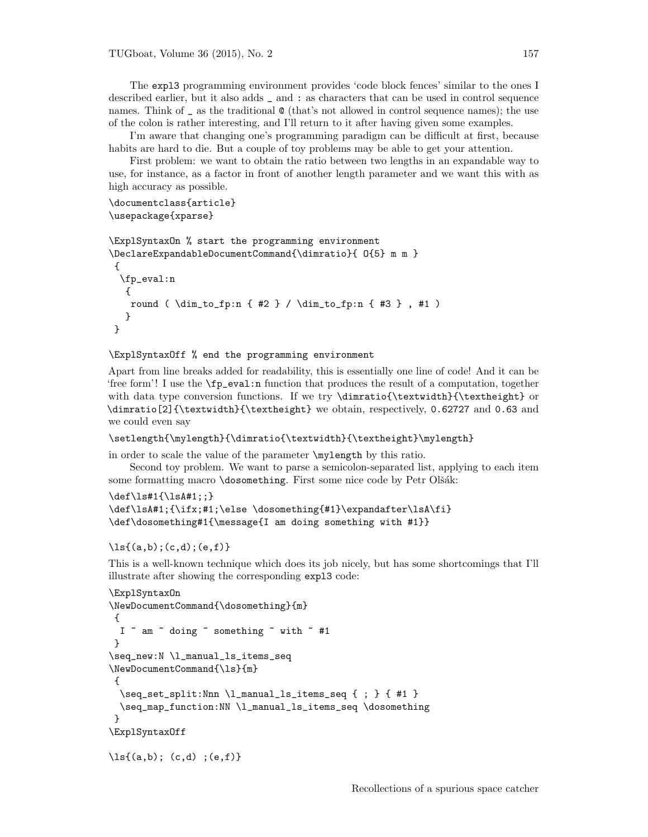The expl3 programming environment provides 'code block fences' similar to the ones I described earlier, but it also adds \_ and : as characters that can be used in control sequence names. Think of  $\overline{\phantom{a}}$  as the traditional  $\otimes$  (that's not allowed in control sequence names); the use of the colon is rather interesting, and I'll return to it after having given some examples.

I'm aware that changing one's programming paradigm can be difficult at first, because habits are hard to die. But a couple of toy problems may be able to get your attention.

First problem: we want to obtain the ratio between two lengths in an expandable way to use, for instance, as a factor in front of another length parameter and we want this with as high accuracy as possible.

```
\documentclass{article}
\usepackage{xparse}
```

```
\ExplSyntaxOn % start the programming environment
\DeclareExpandableDocumentCommand{\dimratio}{ O{5} m m }
{
 \fp_eval:n
  {
   round ( \dim_to_fp:n { #2 } / \dim_to_fp:n { #3 } , #1 )
   }
}
```
\ExplSyntaxOff % end the programming environment

Apart from line breaks added for readability, this is essentially one line of code! And it can be 'free form'! I use the \fp\_eval:n function that produces the result of a computation, together with data type conversion functions. If we try \dimratio{\textwidth}{\textheight} or \dimratio[2]{\textwidth}{\textheight} we obtain, respectively, 0.62727 and 0.63 and we could even say

```
\setlength{\mylength}{\dimratio{\textwidth}{\textheight}\mylength}
```
in order to scale the value of the parameter \mylength by this ratio.

Second toy problem. We want to parse a semicolon-separated list, applying to each item some formatting macro \dosomething. First some nice code by Petr Olšák:

```
\def\ls#1{\lsA#1;;}
\def\lsA#1;{\ifx;#1;\else \dosomething{#1}\expandafter\lsA\fi}
\def\dosomething#1{\message{I am doing something with #1}}
```

```
\{a,b\};(c,d);(e,f)\}
```
This is a well-known technique which does its job nicely, but has some shortcomings that I'll illustrate after showing the corresponding expl3 code:

```
\ExplSyntaxOn
\NewDocumentCommand{\dosomething}{m}
 {
  I \degree am \degree doing \degree something \degree with \degree #1
 }
\seq_new:N \l_manual_ls_items_seq
\NewDocumentCommand{\ls}{m}
 {
  \seq_set_split:Nnn \l_manual_ls_items_seq { ; } { #1 }
  \seq_map_function:NN \l_manual_ls_items_seq \dosomething
 }
\ExplSyntaxOff
\{a,b\}; (c,d) ; (e,f)}
```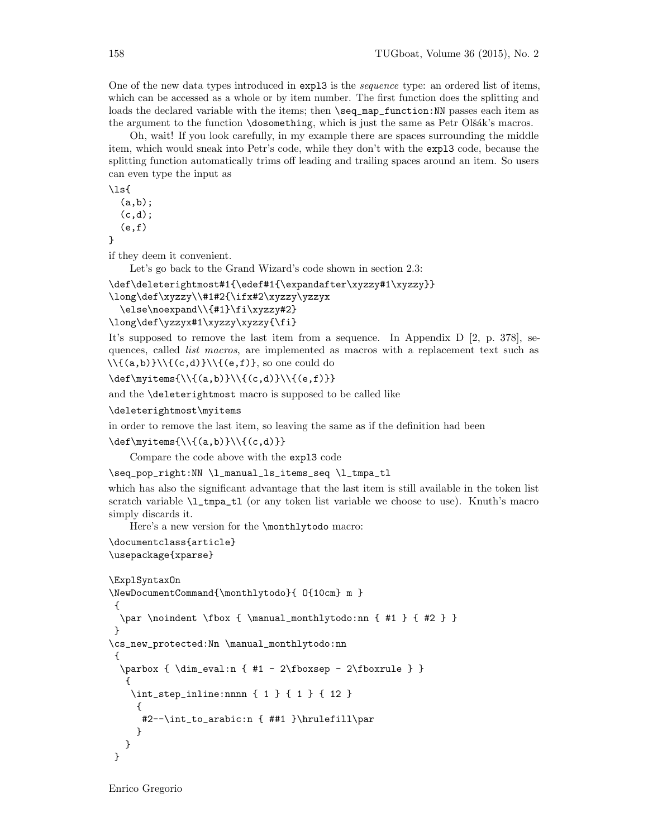One of the new data types introduced in expl3 is the sequence type: an ordered list of items, which can be accessed as a whole or by item number. The first function does the splitting and loads the declared variable with the items; then \seq\_map\_function:NN passes each item as the argument to the function \dosomething, which is just the same as Petr Olšák's macros.

Oh, wait! If you look carefully, in my example there are spaces surrounding the middle item, which would sneak into Petr's code, while they don't with the expl3 code, because the splitting function automatically trims off leading and trailing spaces around an item. So users can even type the input as

 $\iota$ (a,b);  $(c,d);$ 

 $(e,f)$ 

}

if they deem it convenient.

Let's go back to the Grand Wizard's code shown in section 2.3:

\def\deleterightmost#1{\edef#1{\expandafter\xyzzy#1\xyzzy}}

\long\def\xyzzy\\#1#2{\ifx#2\xyzzy\yzzyx

\else\noexpand\\{#1}\fi\xyzzy#2}

\long\def\yzzyx#1\xyzzy\xyzzy{\fi}

It's supposed to remove the last item from a sequence. In Appendix  $D$  [2, p. 378], sequences, called *list macros*, are implemented as macros with a replacement text such as  $\{\{(a,b)\}\}\{\{(c,d)\}\}\$ , so one could do

 $\def\myitems{\\}(a,b)}\{\c,d\}\{\c,f\}$ 

and the \deleterightmost macro is supposed to be called like

\deleterightmost\myitems

in order to remove the last item, so leaving the same as if the definition had been

 $\def{\myitems}{\{(a,b)\}\{\{(c,d)\}\}}$ 

Compare the code above with the expl3 code

\seq\_pop\_right:NN \l\_manual\_ls\_items\_seq \l\_tmpa\_tl

which has also the significant advantage that the last item is still available in the token list scratch variable \l\_tmpa\_tl (or any token list variable we choose to use). Knuth's macro simply discards it.

Here's a new version for the \monthlytodo macro:

```
\documentclass{article}
\usepackage{xparse}
```

```
\ExplSyntaxOn
\NewDocumentCommand{\monthlytodo}{ O{10cm} m }
{
 \par \noindent \fbox { \manual_monthlytodo:nn { #1 } { #2 } }
 }
\cs_new_protected:Nn \manual_monthlytodo:nn
 {
 \parbox { \dim_eval:n { #1 - 2\fboxsep - 2\fboxrule } }
  {
   \int_step_inline:nnnn { 1 } { 1 } { 12 }
     {
     #2--\int_to_arabic:n { ##1 }\hrulefill\par
    }
  }
}
```
Enrico Gregorio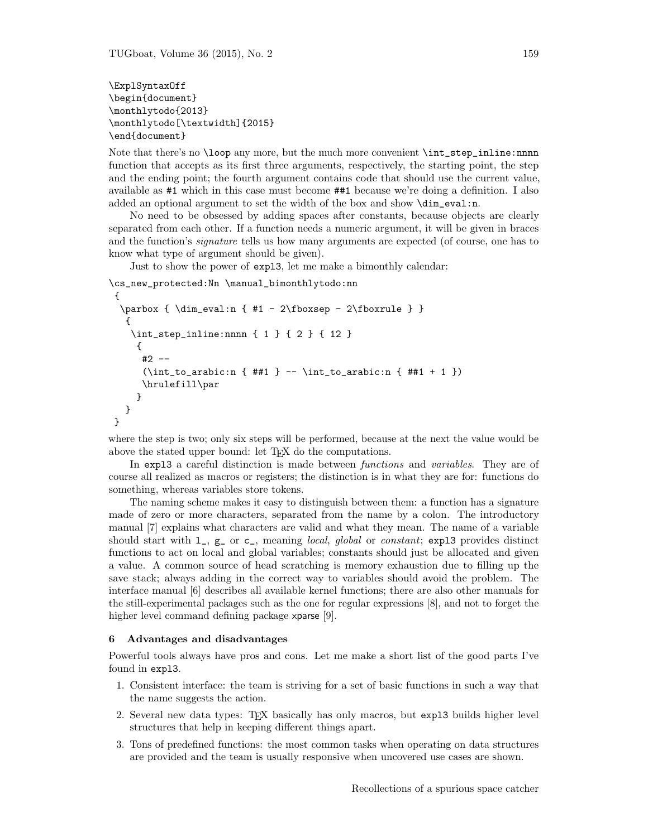\ExplSyntaxOff \begin{document} \monthlytodo{2013} \monthlytodo[\textwidth]{2015} \end{document}

Note that there's no  $\lozenge$  loop any more, but the much more convenient  $\int \text{step}_\text{inlin}$ :nnnn function that accepts as its first three arguments, respectively, the starting point, the step and the ending point; the fourth argument contains code that should use the current value, available as #1 which in this case must become ##1 because we're doing a definition. I also added an optional argument to set the width of the box and show \dim\_eval:n.

No need to be obsessed by adding spaces after constants, because objects are clearly separated from each other. If a function needs a numeric argument, it will be given in braces and the function's *signature* tells us how many arguments are expected (of course, one has to know what type of argument should be given).

Just to show the power of expl3, let me make a bimonthly calendar:

```
\cs_new_protected:Nn \manual_bimonthlytodo:nn
{
  \parbox { \dim_eval:n { #1 - 2\fboxsep - 2\fboxrule } }
   {
   \int_step_inline:nnnn { 1 } { 2 } { 12 }
    {
     #2 --
      (\int_{t_1,t_0_1}^{t_1} + 1) -- \int_{t_0_1}^{t_1} + 1)\hrulefill\par
    }
  }
}
```
where the step is two; only six steps will be performed, because at the next the value would be above the stated upper bound: let T<sub>E</sub>X do the computations.

In expl3 a careful distinction is made between *functions* and *variables*. They are of course all realized as macros or registers; the distinction is in what they are for: functions do something, whereas variables store tokens.

The naming scheme makes it easy to distinguish between them: a function has a signature made of zero or more characters, separated from the name by a colon. The introductory manual [7] explains what characters are valid and what they mean. The name of a variable should start with  $l_$ ,  $g_$  or  $c_$ , meaning *local, global* or *constant*; exp13 provides distinct functions to act on local and global variables; constants should just be allocated and given a value. A common source of head scratching is memory exhaustion due to filling up the save stack; always adding in the correct way to variables should avoid the problem. The interface manual [6] describes all available kernel functions; there are also other manuals for the still-experimental packages such as the one for regular expressions [8], and not to forget the higher level command defining package x**parse** [9].

# 6 Advantages and disadvantages

Powerful tools always have pros and cons. Let me make a short list of the good parts I've found in expl3.

- 1. Consistent interface: the team is striving for a set of basic functions in such a way that the name suggests the action.
- 2. Several new data types: TEX basically has only macros, but expl3 builds higher level structures that help in keeping different things apart.
- 3. Tons of predefined functions: the most common tasks when operating on data structures are provided and the team is usually responsive when uncovered use cases are shown.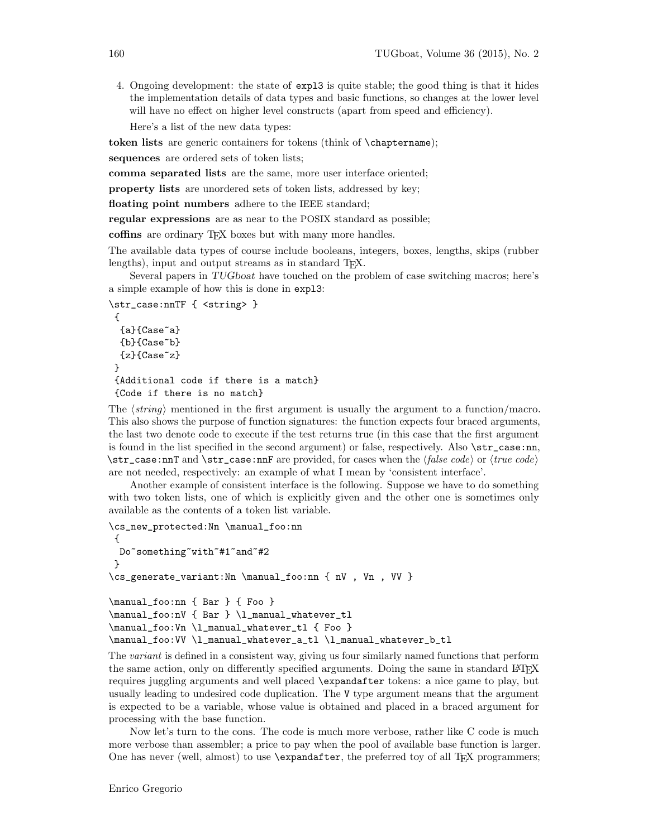4. Ongoing development: the state of expl3 is quite stable; the good thing is that it hides the implementation details of data types and basic functions, so changes at the lower level will have no effect on higher level constructs (apart from speed and efficiency).

Here's a list of the new data types:

token lists are generic containers for tokens (think of \chaptername);

sequences are ordered sets of token lists;

comma separated lists are the same, more user interface oriented;

property lists are unordered sets of token lists, addressed by key;

floating point numbers adhere to the IEEE standard;

regular expressions are as near to the POSIX standard as possible;

coffins are ordinary T<sub>EX</sub> boxes but with many more handles.

The available data types of course include booleans, integers, boxes, lengths, skips (rubber lengths), input and output streams as in standard T<sub>EX</sub>.

Several papers in TUGboat have touched on the problem of case switching macros; here's a simple example of how this is done in expl3:

```
\str_case:nnTF { <string> }
{
 {a}{Case~a}
 {b}{Case~b}
 {z}{Case~z}
}
{Additional code if there is a match}
 {Code if there is no match}
```
The  $\langle string \rangle$  mentioned in the first argument is usually the argument to a function/macro. This also shows the purpose of function signatures: the function expects four braced arguments, the last two denote code to execute if the test returns true (in this case that the first argument is found in the list specified in the second argument) or false, respectively. Also  $\text{str\_case:nn}$ ,  $\strut \text{star\_case:} \text{and } \text{star\_case:} \text{and} \text{are provided,} \text{for cases when the } \text{false code} \text{ or } \text{true code} \text{.}$ are not needed, respectively: an example of what I mean by 'consistent interface'.

Another example of consistent interface is the following. Suppose we have to do something with two token lists, one of which is explicitly given and the other one is sometimes only available as the contents of a token list variable.

```
\cs_new_protected:Nn \manual_foo:nn
 {
 Do~something~with~#1~and~#2
 }
\cs_generate_variant:Nn \manual_foo:nn { nV , Vn , VV }
\manual_foo:nn { Bar } { Foo }
\manual_foo:nV { Bar } \l_manual_whatever_tl
\manual_foo:Vn \l_manual_whatever_tl { Foo }
\manual_foo:VV \l_manual_whatever_a_tl \l_manual_whatever_b_tl
```
The variant is defined in a consistent way, giving us four similarly named functions that perform the same action, only on differently specified arguments. Doing the same in standard L<sup>AT</sup>F<sub>X</sub> requires juggling arguments and well placed \expandafter tokens: a nice game to play, but usually leading to undesired code duplication. The V type argument means that the argument is expected to be a variable, whose value is obtained and placed in a braced argument for processing with the base function.

Now let's turn to the cons. The code is much more verbose, rather like C code is much more verbose than assembler; a price to pay when the pool of available base function is larger. One has never (well, almost) to use **\expandafter**, the preferred toy of all T<sub>EX</sub> programmers;